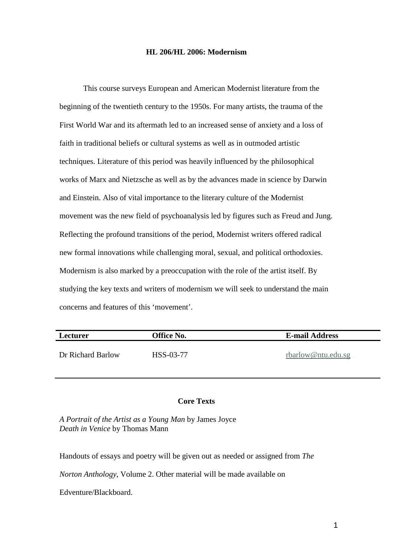#### **HL 206/HL 2006: Modernism**

This course surveys European and American Modernist literature from the beginning of the twentieth century to the 1950s. For many artists, the trauma of the First World War and its aftermath led to an increased sense of anxiety and a loss of faith in traditional beliefs or cultural systems as well as in outmoded artistic techniques. Literature of this period was heavily influenced by the philosophical works of Marx and Nietzsche as well as by the advances made in science by Darwin and Einstein. Also of vital importance to the literary culture of the Modernist movement was the new field of psychoanalysis led by figures such as Freud and Jung. Reflecting the profound transitions of the period, Modernist writers offered radical new formal innovations while challenging moral, sexual, and political orthodoxies. Modernism is also marked by a preoccupation with the role of the artist itself. By studying the key texts and writers of modernism we will seek to understand the main concerns and features of this 'movement'.

| Lecturer          | <b>Office No.</b> | <b>E-mail Address</b> |
|-------------------|-------------------|-----------------------|
| Dr Richard Barlow | HSS-03-77         | rbarlow@ntu.edu.sg    |

# **Core Texts**

*A Portrait of the Artist as a Young Man* by James Joyce *Death in Venice* by Thomas Mann

Handouts of essays and poetry will be given out as needed or assigned from *The* 

*Norton Anthology*, Volume 2. Other material will be made available on

Edventure/Blackboard.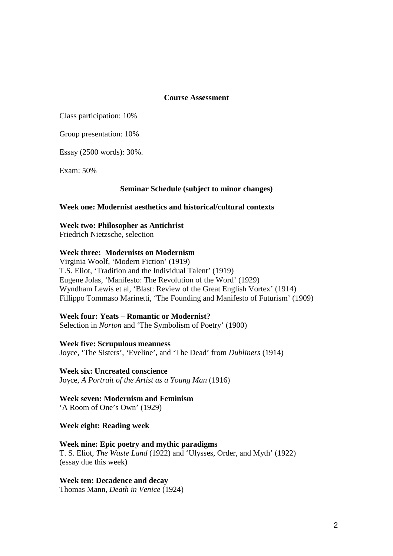**Course Assessment**

Class participation: 10%

Group presentation: 10%

Essay (2500 words): 30%.

Exam: 50%

## **Seminar Schedule (subject to minor changes)**

## **Week one: Modernist aesthetics and historical/cultural contexts**

**Week two: Philosopher as Antichrist**

Friedrich Nietzsche, selection

## **Week three: Modernists on Modernism**

Virginia Woolf, 'Modern Fiction' (1919) T.S. Eliot, 'Tradition and the Individual Talent' (1919) Eugene Jolas, 'Manifesto: The Revolution of the Word' (1929) Wyndham Lewis et al, 'Blast: Review of the Great English Vortex' (1914) Fillippo Tommaso Marinetti, 'The Founding and Manifesto of Futurism' (1909)

## **Week four: Yeats – Romantic or Modernist?**

Selection in *Norton* and 'The Symbolism of Poetry' (1900)

**Week five: Scrupulous meanness** Joyce, 'The Sisters', 'Eveline', and 'The Dead' from *Dubliners* (1914)

**Week six: Uncreated conscience** Joyce, *A Portrait of the Artist as a Young Man* (1916)

**Week seven: Modernism and Feminism** 'A Room of One's Own' (1929)

**Week eight: Reading week**

# **Week nine: Epic poetry and mythic paradigms**

T. S. Eliot, *The Waste Land* (1922) and 'Ulysses, Order, and Myth' (1922) (essay due this week)

**Week ten: Decadence and decay** Thomas Mann, *Death in Venice* (1924)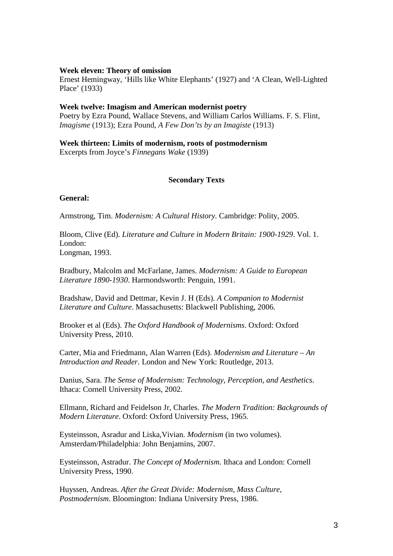#### **Week eleven: Theory of omission**

Ernest Hemingway, 'Hills like White Elephants' (1927) and 'A Clean, Well-Lighted Place' (1933)

#### **Week twelve: Imagism and American modernist poetry**

Poetry by Ezra Pound, Wallace Stevens, and William Carlos Williams. F. S. Flint, *Imagisme* (1913); Ezra Pound, *A Few Don'ts by an Imagiste* (1913)

**Week thirteen: Limits of modernism, roots of postmodernism**

Excerpts from Joyce's *Finnegans Wake* (1939)

## **Secondary Texts**

#### **General:**

Armstrong, Tim. *Modernism: A Cultural History.* Cambridge: Polity, 2005.

Bloom, Clive (Ed). *Literature and Culture in Modern Britain: 1900-1929*. Vol. 1. London: Longman, 1993.

Bradbury, Malcolm and McFarlane, James. *Modernism: A Guide to European Literature 1890-1930*. Harmondsworth: Penguin, 1991.

Bradshaw, David and Dettmar, Kevin J. H (Eds). *A Companion to Modernist Literature and Culture*. Massachusetts: Blackwell Publishing, 2006.

Brooker et al (Eds). *The Oxford Handbook of Modernisms*. Oxford: Oxford University Press, 2010.

Carter, Mia and Friedmann, Alan Warren (Eds). *Modernism and Literature – An Introduction and Reader*. London and New York: Routledge, 2013.

Danius, Sara. *The Sense of Modernism: Technology, Perception, and Aesthetics*. Ithaca: Cornell University Press, 2002.

Ellmann, Richard and Feidelson Jr, Charles. *The Modern Tradition: Backgrounds of Modern Literature*. Oxford: Oxford University Press, 1965.

Eysteinsson, Asradur and Liska,Vivian. *Modernism* (in two volumes). Amsterdam/Philadelphia: John Benjamins, 2007.

Eysteinsson, Astradur. *The Concept of Modernism*. Ithaca and London: Cornell University Press, 1990.

Huyssen, Andreas. *After the Great Divide: Modernism, Mass Culture, Postmodernism*. Bloomington: Indiana University Press, 1986.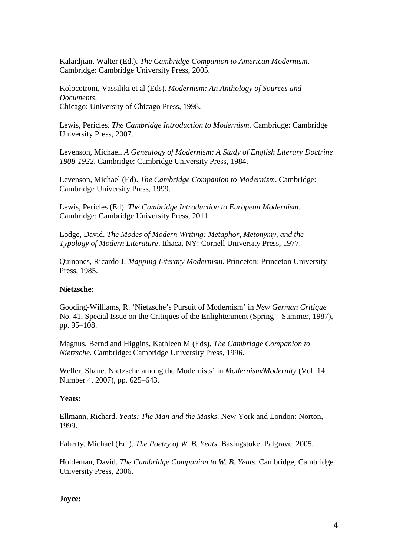Kalaidjian, Walter (Ed.). *The Cambridge Companion to American Modernism*. Cambridge: Cambridge University Press, 2005.

Kolocotroni, Vassiliki et al (Eds). *Modernism: An Anthology of Sources and Documents*. Chicago: University of Chicago Press, 1998.

Lewis, Pericles. *The Cambridge Introduction to Modernism*. Cambridge: Cambridge University Press, 2007.

Levenson, Michael. *A Genealogy of Modernism: A Study of English Literary Doctrine 1908-1922*. Cambridge: Cambridge University Press, 1984.

Levenson, Michael (Ed). *The Cambridge Companion to Modernism*. Cambridge: Cambridge University Press, 1999.

Lewis, Pericles (Ed). *The Cambridge Introduction to European Modernism*. Cambridge: Cambridge University Press, 2011.

Lodge, David. *The Modes of Modern Writing: Metaphor, Metonymy, and the Typology of Modern Literature*. Ithaca, NY: Cornell University Press, 1977.

Quinones, Ricardo J. *Mapping Literary Modernism*. Princeton: Princeton University Press, 1985.

#### **Nietzsche:**

Gooding-Williams, R. 'Nietzsche's Pursuit of Modernism' in *New German Critique* No. 41, Special Issue on the Critiques of the Enlightenment (Spring – Summer, 1987), pp. 95–108.

Magnus, Bernd and Higgins, Kathleen M (Eds). *The Cambridge Companion to Nietzsche*. Cambridge: Cambridge University Press, 1996.

Weller, Shane. Nietzsche among the Modernists' in *Modernism/Modernity* [\(Vol. 14,](https://muse.jhu.edu/journals/modernism-modernity/toc/mod14.4.html)  [Number 4, 2007\)](https://muse.jhu.edu/journals/modernism-modernity/toc/mod14.4.html), pp. 625–643.

#### **Yeats:**

Ellmann, Richard. *Yeats: The Man and the Masks*. New York and London: Norton, 1999.

Faherty, Michael (Ed.). *The Poetry of W. B. Yeats*. Basingstoke: Palgrave, 2005.

Holdeman, David. *The Cambridge Companion to W. B. Yeats*. Cambridge; Cambridge University Press, 2006.

## **Joyce:**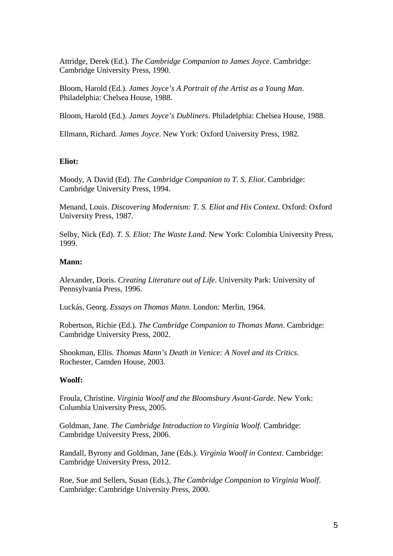Attridge, Derek (Ed.). *The Cambridge Companion to James Joyce*. Cambridge: Cambridge University Press, 1990.

Bloom, Harold (Ed.). *James Joyce's A Portrait of the Artist as a Young Man*. Philadelphia: Chelsea House, 1988.

Bloom, Harold (Ed.). *James Joyce's Dubliners*. Philadelphia: Chelsea House, 1988.

Ellmann, Richard. *James Joyce*. New York: Oxford University Press, 1982.

#### **Eliot:**

Moody, A David (Ed). *The Cambridge Companion to T. S. Eliot*. Cambridge: Cambridge University Press, 1994.

Menand, Louis. *Discovering Modernism: T. S. Eliot and His Context*. Oxford: Oxford University Press, 1987.

Selby, Nick (Ed). *T. S. Eliot: The Waste Land*. New York: Colombia University Press, 1999.

#### **Mann:**

Alexander, Doris. *Creating Literature out of Life*. University Park: University of Pennsylvania Press, 1996.

Luckás, Georg. *Essays on Thomas Mann*. London: Merlin, 1964.

Robertson, Richie (Ed.). *The Cambridge Companion to Thomas Mann*. Cambridge: Cambridge University Press, 2002.

Shookman, Ellis. *Thomas Mann's Death in Venice: A Novel and its Critics*. Rochester, Camden House, 2003.

#### **Woolf:**

Froula, Christine. *Virginia Woolf and the Bloomsbury Avant-Garde*. New York: Columbia University Press, 2005.

Goldman, Jane. *The Cambridge Introduction to Virginia Woolf*. Cambridge: Cambridge University Press, 2006.

Randall, Byrony and Goldman, Jane (Eds.). *Virginia Woolf in Context*. Cambridge: Cambridge University Press, 2012.

Roe, Sue and Sellers, Susan (Eds.), *The Cambridge Companion to Virginia Woolf*. Cambridge: Cambridge University Press, 2000.